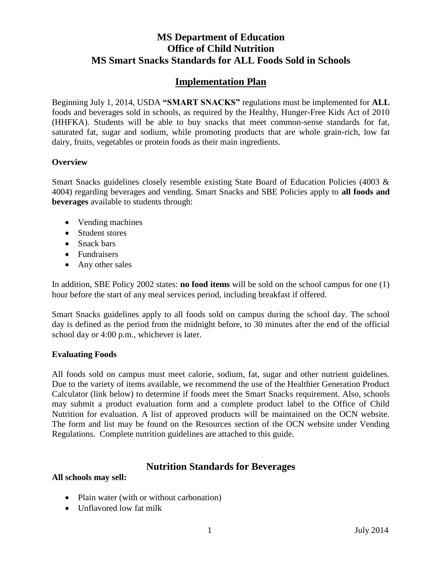# **MS Department of Education Office of Child Nutrition MS Smart Snacks Standards for ALL Foods Sold in Schools**

# **Implementation Plan**

Beginning July 1, 2014, USDA **"SMART SNACKS"** regulations must be implemented for **ALL**  foods and beverages sold in schools, as required by the Healthy, Hunger-Free Kids Act of 2010 (HHFKA). Students will be able to buy snacks that meet common-sense standards for fat, saturated fat, sugar and sodium, while promoting products that are whole grain-rich, low fat dairy, fruits, vegetables or protein foods as their main ingredients.

## **Overview**

Smart Snacks guidelines closely resemble existing State Board of Education Policies (4003 & 4004) regarding beverages and vending. Smart Snacks and SBE Policies apply to **all foods and beverages** available to students through:

- Vending machines
- Student stores
- Snack bars
- Fundraisers
- Any other sales

In addition, SBE Policy 2002 states: **no food items** will be sold on the school campus for one (1) hour before the start of any meal services period, including breakfast if offered.

Smart Snacks guidelines apply to all foods sold on campus during the school day. The school day is defined as the period from the midnight before, to 30 minutes after the end of the official school day or 4:00 p.m., whichever is later.

### **Evaluating Foods**

All foods sold on campus must meet calorie, sodium, fat, sugar and other nutrient guidelines. Due to the variety of items available, we recommend the use of the Healthier Generation Product Calculator (link below) to determine if foods meet the Smart Snacks requirement. Also, schools may submit a product evaluation form and a complete product label to the Office of Child Nutrition for evaluation. A list of approved products will be maintained on the OCN website. The form and list may be found on the Resources section of the OCN website under Vending Regulations. Complete nutrition guidelines are attached to this guide.

# **Nutrition Standards for Beverages**

### **All schools may sell:**

- Plain water (with or without carbonation)
- Unflavored low fat milk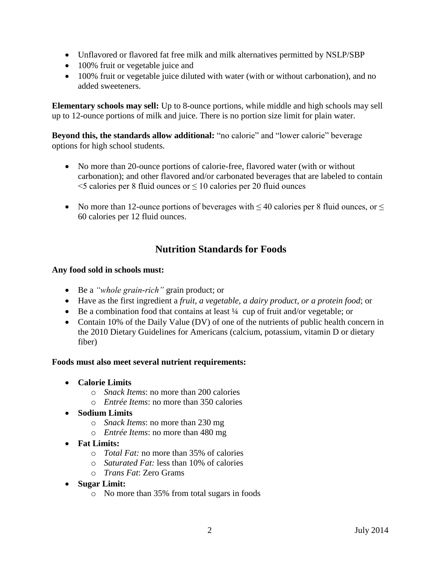- Unflavored or flavored fat free milk and milk alternatives permitted by NSLP/SBP
- 100% fruit or vegetable juice and
- 100% fruit or vegetable juice diluted with water (with or without carbonation), and no added sweeteners.

**Elementary schools may sell:** Up to 8-ounce portions, while middle and high schools may sell up to 12-ounce portions of milk and juice. There is no portion size limit for plain water.

**Beyond this, the standards allow additional:** "no calorie" and "lower calorie" beverage options for high school students.

- No more than 20-ounce portions of calorie-free, flavored water (with or without carbonation); and other flavored and/or carbonated beverages that are labeled to contain  $\le$  5 calories per 8 fluid ounces or  $\le$  10 calories per 20 fluid ounces
- No more than 12-ounce portions of beverages with  $\leq$  40 calories per 8 fluid ounces, or  $\leq$ 60 calories per 12 fluid ounces.

# **Nutrition Standards for Foods**

## **Any food sold in schools must:**

- Be a *"whole grain-rich"* grain product; or
- Have as the first ingredient a *fruit, a vegetable, a dairy product, or a protein food*; or
- $\bullet$  Be a combination food that contains at least  $\frac{1}{4}$  cup of fruit and/or vegetable; or
- Contain 10% of the Daily Value (DV) of one of the nutrients of public health concern in the 2010 Dietary Guidelines for Americans (calcium, potassium, vitamin D or dietary fiber)

### **Foods must also meet several nutrient requirements:**

- **Calorie Limits**
	- o *Snack Items*: no more than 200 calories
	- o *Entrée Items*: no more than 350 calories
- **Sodium Limits**
	- o *Snack Items*: no more than 230 mg
	- o *Entrée Items*: no more than 480 mg
- **Fat Limits:** 
	- o *Total Fat:* no more than 35% of calories
	- o *Saturated Fat:* less than 10% of calories
	- o *Trans Fat*: Zero Grams
- **Sugar Limit:**
	- o No more than 35% from total sugars in foods